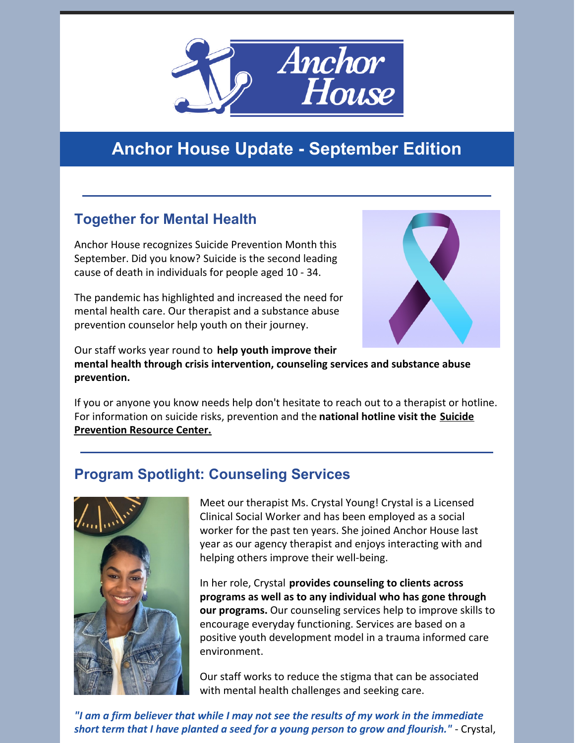

# **Anchor House Update - September Edition**

## **Together for Mental Health**

Anchor House recognizes Suicide Prevention Month this September. Did you know? Suicide is the second leading cause of death in individuals for people aged 10 - 34.

The pandemic has highlighted and increased the need for mental health care. Our therapist and a substance abuse prevention counselor help youth on their journey.

Our staff works year round to **help youth improve their mental health through crisis intervention, counseling services and substance abuse prevention.**

If you or anyone you know needs help don't hesitate to reach out to a therapist or hotline. For [information](https://www.sprc.org/) on suicide risks, prevention and the **national hotline visit the Suicide Prevention Resource Center.**

#### **Program Spotlight: Counseling Services**



Meet our therapist Ms. Crystal Young! Crystal is a Licensed Clinical Social Worker and has been employed as a social worker for the past ten years. She joined Anchor House last year as our agency therapist and enjoys interacting with and helping others improve their well-being.

In her role, Crystal **provides counseling to clients across programs as well as to any individual who has gone through our programs.** Our counseling services help to improve skills to encourage everyday functioning. Services are based on a positive youth development model in a trauma informed care environment.

Our staff works to reduce the stigma that can be associated with mental health challenges and seeking care.

*"I am a firm believer that while I may not see the results of my work in the immediate short term that I have planted a seed for a young person to grow and flourish."* - Crystal,